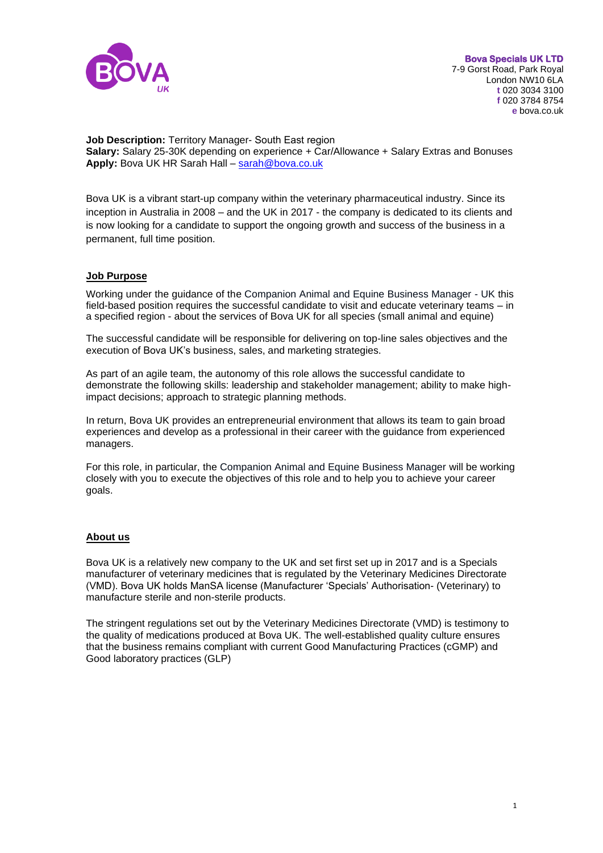

**Job Description:** Territory Manager- South East region **Salary:** Salary 25-30K depending on experience + Car/Allowance + Salary Extras and Bonuses **Apply:** Bova UK HR Sarah Hall – [sarah@bova.co.uk](mailto:sarah@bova.co.uk)

Bova UK is a vibrant start-up company within the veterinary pharmaceutical industry. Since its inception in Australia in 2008 – and the UK in 2017 - the company is dedicated to its clients and is now looking for a candidate to support the ongoing growth and success of the business in a permanent, full time position.

#### **Job Purpose**

Working under the guidance of the Companion Animal and Equine Business Manager - UK this field-based position requires the successful candidate to visit and educate veterinary teams – in a specified region - about the services of Bova UK for all species (small animal and equine)

The successful candidate will be responsible for delivering on top-line sales objectives and the execution of Bova UK's business, sales, and marketing strategies.

As part of an agile team, the autonomy of this role allows the successful candidate to demonstrate the following skills: leadership and stakeholder management; ability to make highimpact decisions; approach to strategic planning methods.

In return, Bova UK provides an entrepreneurial environment that allows its team to gain broad experiences and develop as a professional in their career with the guidance from experienced managers.

For this role, in particular, the Companion Animal and Equine Business Manager will be working closely with you to execute the objectives of this role and to help you to achieve your career goals.

#### **About us**

Bova UK is a relatively new company to the UK and set first set up in 2017 and is a Specials manufacturer of veterinary medicines that is regulated by the Veterinary Medicines Directorate (VMD). Bova UK holds ManSA license (Manufacturer 'Specials' Authorisation- (Veterinary) to manufacture sterile and non-sterile products.

The stringent regulations set out by the Veterinary Medicines Directorate (VMD) is testimony to the quality of medications produced at Bova UK. The well-established quality culture ensures that the business remains compliant with current Good Manufacturing Practices (cGMP) and Good laboratory practices (GLP)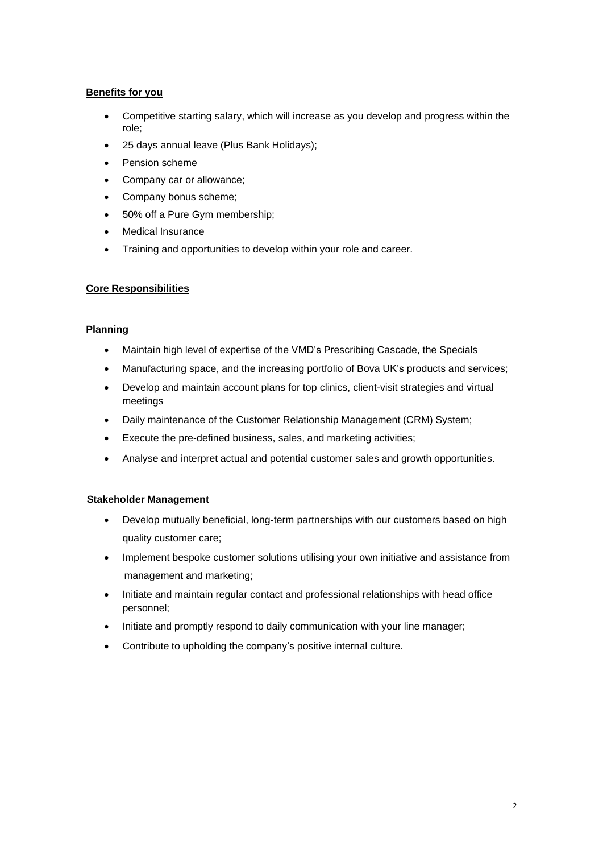# **Benefits for you**

- Competitive starting salary, which will increase as you develop and progress within the role;
- 25 days annual leave (Plus Bank Holidays);
- Pension scheme
- Company car or allowance;
- Company bonus scheme;
- 50% off a Pure Gym membership;
- Medical Insurance
- Training and opportunities to develop within your role and career.

## **Core Responsibilities**

## **Planning**

- Maintain high level of expertise of the VMD's Prescribing Cascade, the Specials
- Manufacturing space, and the increasing portfolio of Bova UK's products and services;
- Develop and maintain account plans for top clinics, client-visit strategies and virtual meetings
- Daily maintenance of the Customer Relationship Management (CRM) System;
- Execute the pre-defined business, sales, and marketing activities;
- Analyse and interpret actual and potential customer sales and growth opportunities.

## **Stakeholder Management**

- Develop mutually beneficial, long-term partnerships with our customers based on high quality customer care;
- Implement bespoke customer solutions utilising your own initiative and assistance from management and marketing;
- Initiate and maintain regular contact and professional relationships with head office personnel;
- Initiate and promptly respond to daily communication with your line manager;
- Contribute to upholding the company's positive internal culture.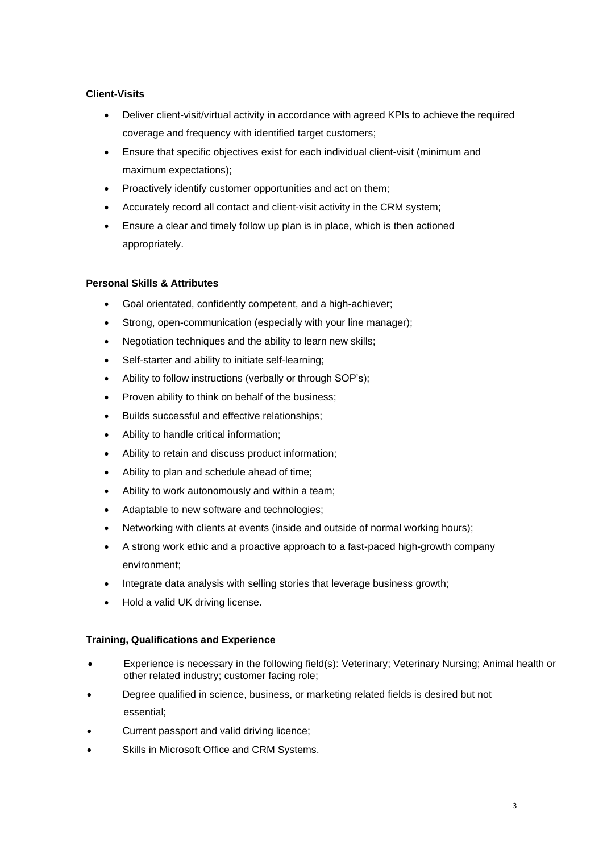# **Client-Visits**

- Deliver client-visit/virtual activity in accordance with agreed KPIs to achieve the required coverage and frequency with identified target customers;
- Ensure that specific objectives exist for each individual client-visit (minimum and maximum expectations);
- Proactively identify customer opportunities and act on them;
- Accurately record all contact and client-visit activity in the CRM system;
- Ensure a clear and timely follow up plan is in place, which is then actioned appropriately.

# **Personal Skills & Attributes**

- Goal orientated, confidently competent, and a high-achiever;
- Strong, open-communication (especially with your line manager);
- Negotiation techniques and the ability to learn new skills;
- Self-starter and ability to initiate self-learning;
- Ability to follow instructions (verbally or through SOP's);
- Proven ability to think on behalf of the business;
- Builds successful and effective relationships;
- Ability to handle critical information;
- Ability to retain and discuss product information;
- Ability to plan and schedule ahead of time;
- Ability to work autonomously and within a team;
- Adaptable to new software and technologies;
- Networking with clients at events (inside and outside of normal working hours);
- A strong work ethic and a proactive approach to a fast-paced high-growth company environment;
- Integrate data analysis with selling stories that leverage business growth;
- Hold a valid UK driving license.

## **Training, Qualifications and Experience**

- Experience is necessary in the following field(s): Veterinary; Veterinary Nursing; Animal health or other related industry; customer facing role;
- Degree qualified in science, business, or marketing related fields is desired but not essential;
- Current passport and valid driving licence;
- Skills in Microsoft Office and CRM Systems.